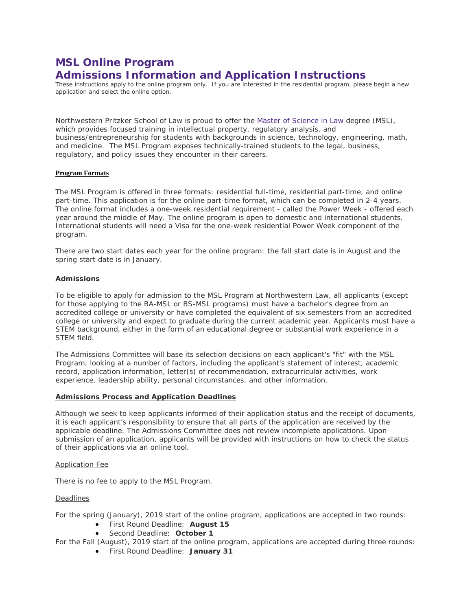# **MSL Online Program Admissions Information and Application Instructions**

These instructions apply to the online program only. If you are interested in the residential program, please begin a new application and select the online option.

Northwestern Pritzker School of Law is proud to offer the [Master of Science in Law](http://www.law.northwestern.edu/academics/degree-programs/msl/) degree (MSL), which provides focused training in intellectual property, regulatory analysis, and business/entrepreneurship for students with backgrounds in science, technology, engineering, math, and medicine. The MSL Program exposes technically-trained students to the legal, business, regulatory, and policy issues they encounter in their careers.

### **Program Formats**

The MSL Program is offered in three formats: residential full-time, residential part-time, and online part-time. This application is for the online part-time format, which can be completed in 2-4 years. The online format includes a one-week residential requirement - called the Power Week - offered each year around the middle of May. The online program is open to domestic and international students. International students will need a Visa for the one-week residential Power Week component of the program.

There are two start dates each year for the online program: the fall start date is in August and the spring start date is in January.

### **Admissions**

To be eligible to apply for admission to the MSL Program at Northwestern Law, all applicants (except for those applying to the BA-MSL or BS-MSL programs) must have a bachelor's degree from an accredited college or university or have completed the equivalent of six semesters from an accredited college or university and expect to graduate during the current academic year. Applicants must have a STEM background, either in the form of an educational degree or substantial work experience in a STEM field.

The Admissions Committee will base its selection decisions on each applicant's "fit" with the MSL Program, looking at a number of factors, including the applicant's statement of interest, academic record, application information, letter(s) of recommendation, extracurricular activities, work experience, leadership ability, personal circumstances, and other information.

### **Admissions Process and Application Deadlines**

Although we seek to keep applicants informed of their application status and the receipt of documents, it is each applicant's responsibility to ensure that all parts of the application are received by the applicable deadline. The Admissions Committee does not review incomplete applications. Upon submission of an application, applicants will be provided with instructions on how to check the status of their applications via an online tool.

#### Application Fee

There is no fee to apply to the MSL Program.

### **Deadlines**

For the spring (January), 2019 start of the online program, applications are accepted in two rounds:

- First Round Deadline: **August 15**
- Second Deadline: **October 1**
- For the Fall (August), 2019 start of the online program, applications are accepted during three rounds:
	- First Round Deadline: **January 31**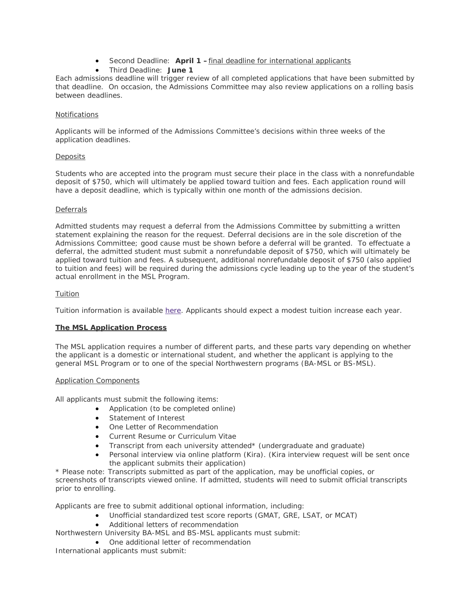- Second Deadline: **April 1 –**final deadline for international applicants
- Third Deadline: **June 1**

Each admissions deadline will trigger review of all completed applications that have been submitted by that deadline. On occasion, the Admissions Committee may also review applications on a rolling basis between deadlines.

### Notifications

Applicants will be informed of the Admissions Committee's decisions within three weeks of the application deadlines.

# **Deposits**

Students who are accepted into the program must secure their place in the class with a nonrefundable deposit of \$750, which will ultimately be applied toward tuition and fees. Each application round will have a deposit deadline, which is typically within one month of the admissions decision.

# **Deferrals**

Admitted students may request a deferral from the Admissions Committee by submitting a written statement explaining the reason for the request. Deferral decisions are in the sole discretion of the Admissions Committee; good cause must be shown before a deferral will be granted. To effectuate a deferral, the admitted student must submit a nonrefundable deposit of \$750, which will ultimately be applied toward tuition and fees. A subsequent, additional nonrefundable deposit of \$750 (also applied to tuition and fees) will be required during the admissions cycle leading up to the year of the student's actual enrollment in the MSL Program.

# Tuition

Tuition information is available [here.](http://www.law.northwestern.edu/admissions/tuitionaid/tuition/) Applicants should expect a modest tuition increase each year.

### **The MSL Application Process**

The MSL application requires a number of different parts, and these parts vary depending on whether the applicant is a domestic or international student, and whether the applicant is applying to the general MSL Program or to one of the special Northwestern programs (BA-MSL or BS-MSL).

### Application Components

All applicants must submit the following items:

- Application (to be completed online)
- Statement of Interest
- One Letter of Recommendation
- Current Resume or Curriculum Vitae
- Transcript from each university attended\* (undergraduate and graduate)
- Personal interview via online platform (Kira). (Kira interview request will be sent once the applicant submits their application)

*\* Please note: Transcripts submitted as part of the application, may be unofficial copies, or screenshots of transcripts viewed online. If admitted, students will need to submit official transcripts prior to enrolling.*

Applicants are free to submit additional optional information, including:

- Unofficial standardized test score reports (GMAT, GRE, LSAT, or MCAT)
- Additional letters of recommendation
- Northwestern University BA-MSL and BS-MSL applicants must submit:
	- One additional letter of recommendation

International applicants must submit: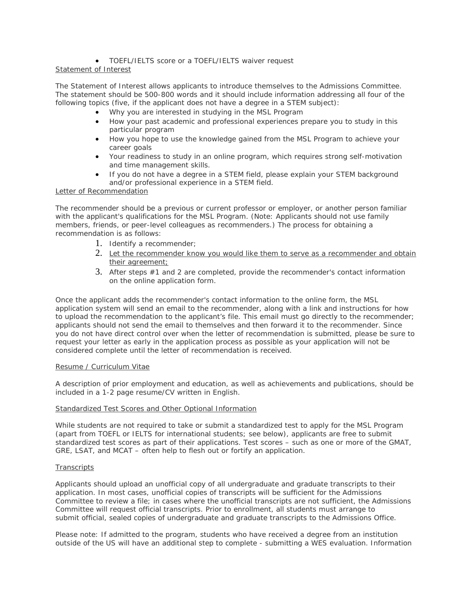# • TOEFL/IELTS score or a TOEFL/IELTS waiver request

# Statement of Interest

The Statement of Interest allows applicants to introduce themselves to the Admissions Committee. The statement should be 500-800 words and it should include information addressing all four of the following topics (five, if the applicant does not have a degree in a STEM subject):

- *Why you are interested in studying in the MSL Program*
- *How your past academic and professional experiences prepare you to study in this particular program*
- *How you hope to use the knowledge gained from the MSL Program to achieve your career goals*
- *Your readiness to study in an online program, which requires strong self-motivation and time management skills.*
- *If you do not have a degree in a STEM field, please explain your STEM background and/or professional experience in a STEM field.*

### Letter of Recommendation

The recommender should be a previous or current professor or employer, or another person familiar with the applicant's qualifications for the MSL Program. (Note: Applicants should not use family members, friends, or peer-level colleagues as recommenders.) The process for obtaining a recommendation is as follows:

- 1. Identify a recommender;
- 2. Let the recommender know you would like them to serve as a recommender and obtain their agreement;
- 3. After steps #1 and 2 are completed, provide the recommender's contact information on the online application form.

Once the applicant adds the recommender's contact information to the online form, the MSL application system will send an email to the recommender, along with a link and instructions for how to upload the recommendation to the applicant's file. This email must go directly to the recommender; applicants should not send the email to themselves and then forward it to the recommender. Since you do not have direct control over when the letter of recommendation is submitted, please be sure to request your letter as early in the application process as possible as your application will not be considered complete until the letter of recommendation is received.

### Resume / Curriculum Vitae

A description of prior employment and education, as well as achievements and publications, should be included in a 1-2 page resume/CV written in English.

### Standardized Test Scores and Other Optional Information

While students are not required to take or submit a standardized test to apply for the MSL Program (apart from TOEFL or IELTS for international students; see below), applicants are free to submit standardized test scores as part of their applications. Test scores – such as one or more of the GMAT, GRE, LSAT, and MCAT – often help to flesh out or fortify an application.

### **Transcripts**

Applicants should upload an unofficial copy of all undergraduate and graduate transcripts to their application. In most cases, unofficial copies of transcripts will be sufficient for the Admissions Committee to review a file; in cases where the unofficial transcripts are not sufficient, the Admissions Committee will request official transcripts. Prior to enrollment, all students must arrange to submit official, sealed copies of undergraduate and graduate transcripts to the Admissions Office.

Please note: If admitted to the program, students who have received a degree from an institution outside of the US will have an additional step to complete - submitting a WES evaluation. Information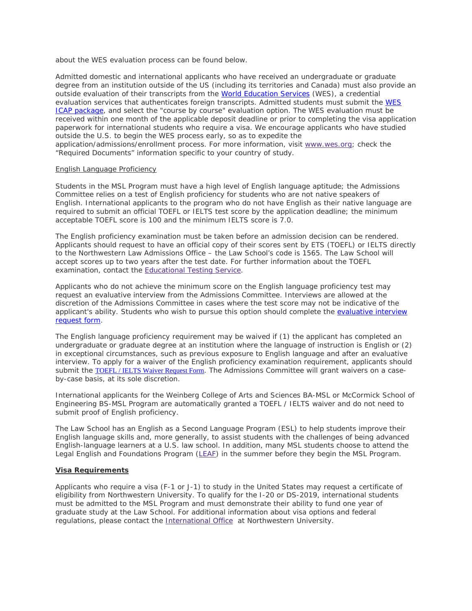about the WES evaluation process can be found below.

Admitted domestic and international applicants who have received an undergraduate or graduate degree from an institution outside of the US (including its territories and Canada) must also provide an outside evaluation of their transcripts from the [World Education Services](https://urldefense.proofpoint.com/v2/url?u=http-3A__www.wes.org_&d=DwMFaQ&c=yHlS04HhBraes5BQ9ueu5zKhE7rtNXt_d012z2PA6ws&r=mHp2LQaSDiTNZpIPXlrfQebaKw5JtjYh1Lkrn8z-VALiQMptthp5Y-IIESQKkKiL&m=PTZYa1tMkWS-2v7FKVJVFOgx_hHhVVMbIB92L7Nst4E&s=LdsMps6k85Egr4L3BMh3OZVsZMu3NWcypoj84jTxv04&e=) (WES), a credential evaluation services that authenticates foreign transcripts. Admitted students must submit the [WES](https://urldefense.proofpoint.com/v2/url?u=http-3A__www.wes.org_fees_icap.asp&d=DwMFaQ&c=yHlS04HhBraes5BQ9ueu5zKhE7rtNXt_d012z2PA6ws&r=mHp2LQaSDiTNZpIPXlrfQebaKw5JtjYh1Lkrn8z-VALiQMptthp5Y-IIESQKkKiL&m=PTZYa1tMkWS-2v7FKVJVFOgx_hHhVVMbIB92L7Nst4E&s=lKdBUC47gSqqeaGQYuiEFr9yCMeZSZUuHk-od7O2qec&e=)  [ICAP package,](https://urldefense.proofpoint.com/v2/url?u=http-3A__www.wes.org_fees_icap.asp&d=DwMFaQ&c=yHlS04HhBraes5BQ9ueu5zKhE7rtNXt_d012z2PA6ws&r=mHp2LQaSDiTNZpIPXlrfQebaKw5JtjYh1Lkrn8z-VALiQMptthp5Y-IIESQKkKiL&m=PTZYa1tMkWS-2v7FKVJVFOgx_hHhVVMbIB92L7Nst4E&s=lKdBUC47gSqqeaGQYuiEFr9yCMeZSZUuHk-od7O2qec&e=) and select the "course by course" evaluation option. The WES evaluation must be received within one month of the applicable deposit deadline or prior to completing the visa application paperwork for international students who require a visa. We encourage applicants who have studied outside the U.S. to begin the WES process early, so as to expedite the application/admissions/enrollment process. For more information, visit [www.wes.org;](http://wes.org/) check the "Required Documents" information specific to your country of study.

### English Language Proficiency

Students in the MSL Program must have a high level of English language aptitude; the Admissions Committee relies on a test of English proficiency for students who are not native speakers of English. International applicants to the program who do not have English as their native language are required to submit an official TOEFL or IELTS test score by the application deadline; the minimum acceptable TOEFL score is 100 and the minimum IELTS score is 7.0.

The English proficiency examination must be taken before an admission decision can be rendered. Applicants should request to have an official copy of their scores sent by ETS (TOEFL) or IELTS directly to the Northwestern Law Admissions Office – the Law School's code is 1565. The Law School will accept scores up to two years after the test date. For further information about the TOEFL examination, contact the [Educational Testing Service.](https://www.ets.org/toefl/contact/region1)

Applicants who do not achieve the minimum score on the English language proficiency test may request an evaluative interview from the Admissions Committee. Interviews are allowed at the discretion of the Admissions Committee in cases where the test score may not be indicative of the applicant's ability. Students who wish to pursue this option should complete the [evaluative interview](https://apply.law.northwestern.edu/register/?id=38db32ab-512c-4ae2-b884-6531db1e34a0)  [request form.](https://apply.law.northwestern.edu/register/?id=38db32ab-512c-4ae2-b884-6531db1e34a0)

The English language proficiency requirement may be waived if (1) the applicant has completed an undergraduate or graduate degree at an institution where the language of instruction is English or (2) in exceptional circumstances, such as previous exposure to English language and after an evaluative interview. To apply for a waiver of the English proficiency examination requirement, applicants should submit the [TOEFL / IELTS Waiver Request Form](https://apply.law.northwestern.edu/register/MSLlanguagewaiver). The Admissions Committee will grant waivers on a caseby-case basis, at its sole discretion.

International applicants for the Weinberg College of Arts and Sciences BA-MSL or McCormick School of Engineering BS-MSL Program are automatically granted a TOEFL / IELTS waiver and do not need to submit proof of English proficiency.

The Law School has an English as a Second Language Program (ESL) to help students improve their English language skills and, more generally, to assist students with the challenges of being advanced English-language learners at a U.S. law school. In addition, many MSL students choose to attend the Legal English and Foundations Program [\(LEAF\)](http://www.law.northwestern.edu/law-school-life/studentservices/intlprograms/legalenglish/) in the summer before they begin the MSL Program.

### **Visa Requirements**

Applicants who require a visa (F-1 or J-1) to study in the United States may request a certificate of eligibility from Northwestern University. To qualify for the I-20 or DS-2019, international students must be admitted to the MSL Program and must demonstrate their ability to fund one year of graduate study at the Law School. For additional information about visa options and federal regulations, please contact the [International Office](http://www.northwestern.edu/international/) at Northwestern University.